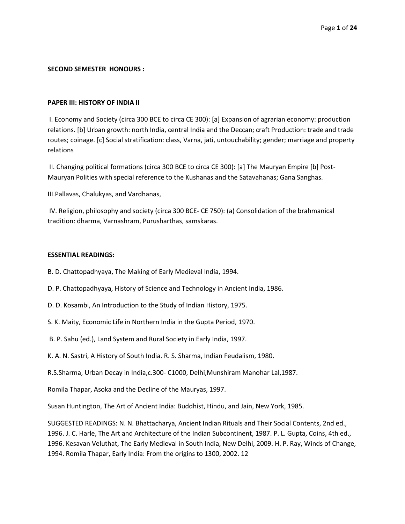### **SECOND SEMESTER HONOURS :**

#### **PAPER III: HISTORY OF INDIA II**

I. Economy and Society (circa 300 BCE to circa CE 300): [a] Expansion of agrarian economy: production relations. [b] Urban growth: north India, central India and the Deccan; craft Production: trade and trade routes; coinage. [c] Social stratification: class, Varna, jati, untouchability; gender; marriage and property relations

II. Changing political formations (circa 300 BCE to circa CE 300): [a] The Mauryan Empire [b] Post-Mauryan Polities with special reference to the Kushanas and the Satavahanas; Gana Sanghas.

III.Pallavas, Chalukyas, and Vardhanas,

IV. Religion, philosophy and society (circa 300 BCE- CE 750): (a) Consolidation of the brahmanical tradition: dharma, Varnashram, Purusharthas, samskaras.

#### **ESSENTIAL READINGS:**

B. D. Chattopadhyaya, The Making of Early Medieval India, 1994.

- D. P. Chattopadhyaya, History of Science and Technology in Ancient India, 1986.
- D. D. Kosambi, An Introduction to the Study of Indian History, 1975.
- S. K. Maity, Economic Life in Northern India in the Gupta Period, 1970.
- B. P. Sahu (ed.), Land System and Rural Society in Early India, 1997.
- K. A. N. Sastri, A History of South India. R. S. Sharma, Indian Feudalism, 1980.
- R.S.Sharma, Urban Decay in India,c.300- C1000, Delhi,Munshiram Manohar Lal,1987.

Romila Thapar, Asoka and the Decline of the Mauryas, 1997.

Susan Huntington, The Art of Ancient India: Buddhist, Hindu, and Jain, New York, 1985.

SUGGESTED READINGS: N. N. Bhattacharya, Ancient Indian Rituals and Their Social Contents, 2nd ed., 1996. J. C. Harle, The Art and Architecture of the Indian Subcontinent, 1987. P. L. Gupta, Coins, 4th ed., 1996. Kesavan Veluthat, The Early Medieval in South India, New Delhi, 2009. H. P. Ray, Winds of Change, 1994. Romila Thapar, Early India: From the origins to 1300, 2002. 12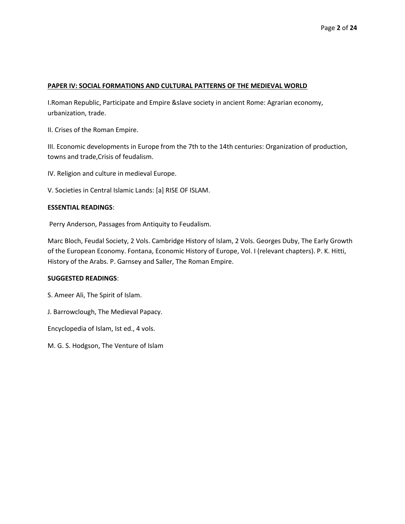### **PAPER IV: SOCIAL FORMATIONS AND CULTURAL PATTERNS OF THE MEDIEVAL WORLD**

I.Roman Republic, Participate and Empire &slave society in ancient Rome: Agrarian economy, urbanization, trade.

II. Crises of the Roman Empire.

III. Economic developments in Europe from the 7th to the 14th centuries: Organization of production, towns and trade,Crisis of feudalism.

IV. Religion and culture in medieval Europe.

V. Societies in Central Islamic Lands: [a] RISE OF ISLAM.

# **ESSENTIAL READINGS**:

Perry Anderson, Passages from Antiquity to Feudalism.

Marc Bloch, Feudal Society, 2 Vols. Cambridge History of Islam, 2 Vols. Georges Duby, The Early Growth of the European Economy. Fontana, Economic History of Europe, Vol. I (relevant chapters). P. K. Hitti, History of the Arabs. P. Garnsey and Saller, The Roman Empire.

### **SUGGESTED READINGS**:

S. Ameer Ali, The Spirit of Islam.

J. Barrowclough, The Medieval Papacy.

Encyclopedia of Islam, Ist ed., 4 vols.

M. G. S. Hodgson, The Venture of Islam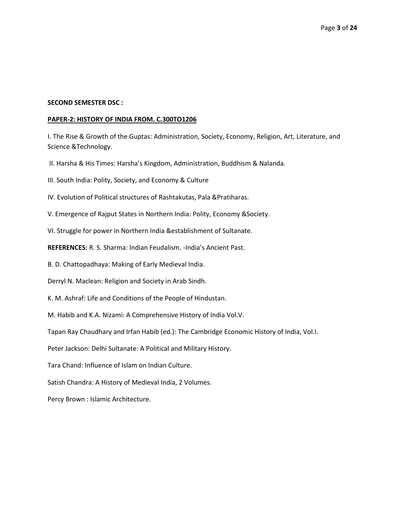# **SECOND SEMESTER DSC :**

### **PAPER-2: HISTORY OF INDIA FROM. C.300TO1206**

I. The Rise & Growth of the Guptas: Administration, Society, Economy, Religion, Art, Literature, and Science &Technology.

II. Harsha & His Times: Harsha's Kingdom, Administration, Buddhism & Nalanda.

III. South India: Polity, Society, and Economy & Culture

IV. Evolution of Political structures of Rashtakutas, Pala &Pratiharas.

V. Emergence of Rajput States in Northern India: Polity, Economy &Society.

VI. Struggle for power in Northern India &establishment of Sultanate.

**REFERENCES:** R. S. Sharma: Indian Feudalism. -India's Ancient Past.

B. D. Chattopadhaya: Making of Early Medieval India.

Derryl N. Maclean: Religion and Society in Arab Sindh.

K. M. Ashraf: Life and Conditions of the People of Hindustan.

M. Habib and K.A. Nizami: A Comprehensive History of India Vol.V.

Tapan Ray Chaudhary and Irfan Habib (ed.): The Cambridge Economic History of India, Vol.I.

Peter Jackson: Delhi Sultanate: A Political and Military History.

Tara Chand: Influence of Islam on Indian Culture.

Satish Chandra: A History of Medieval India, 2 Volumes.

Percy Brown : Islamic Architecture.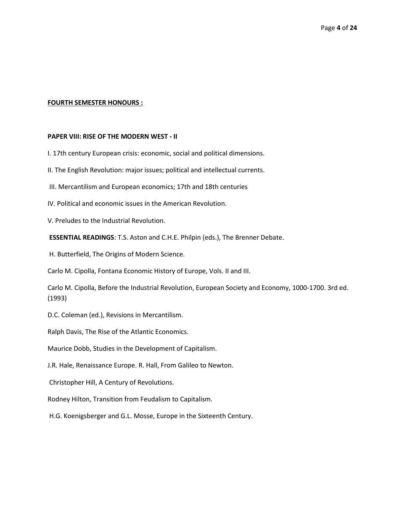#### **FOURTH SEMESTER HONOURS :**

#### **PAPER VIII: RISE OF THE MODERN WEST - II**

I. 17th century European crisis: economic, social and political dimensions.

II. The English Revolution: major issues; political and intellectual currents.

III. Mercantilism and European economics; 17th and 18th centuries

IV. Political and economic issues in the American Revolution.

V. Preludes to the Industrial Revolution.

**ESSENTIAL READINGS**: T.S. Aston and C.H.E. Philpin (eds.), The Brenner Debate.

H. Butterfield, The Origins of Modern Science.

Carlo M. Cipolla, Fontana Economic History of Europe, Vols. II and III.

Carlo M. Cipolla, Before the Industrial Revolution, European Society and Economy, 1000-1700. 3rd ed. (1993)

D.C. Coleman (ed.), Revisions in Mercantilism.

Ralph Davis, The Rise of the Atlantic Economics.

Maurice Dobb, Studies in the Development of Capitalism.

J.R. Hale, Renaissance Europe. R. Hall, From Galileo to Newton.

Christopher Hill, A Century of Revolutions.

Rodney Hilton, Transition from Feudalism to Capitalism.

H.G. Koenigsberger and G.L. Mosse, Europe in the Sixteenth Century.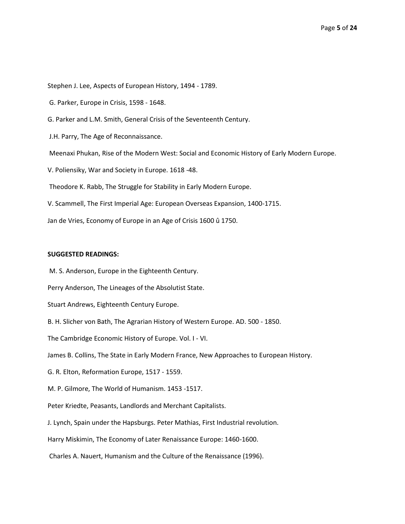Stephen J. Lee, Aspects of European History, 1494 - 1789.

G. Parker, Europe in Crisis, 1598 - 1648.

G. Parker and L.M. Smith, General Crisis of the Seventeenth Century.

J.H. Parry, The Age of Reconnaissance.

Meenaxi Phukan, Rise of the Modern West: Social and Economic History of Early Modern Europe.

V. Poliensiky, War and Society in Europe. 1618 -48.

Theodore K. Rabb, The Struggle for Stability in Early Modern Europe.

V. Scammell, The First Imperial Age: European Overseas Expansion, 1400-1715.

Jan de Vries, Economy of Europe in an Age of Crisis 1600 û 1750.

#### **SUGGESTED READINGS:**

M. S. Anderson, Europe in the Eighteenth Century.

Perry Anderson, The Lineages of the Absolutist State.

Stuart Andrews, Eighteenth Century Europe.

B. H. Slicher von Bath, The Agrarian History of Western Europe. AD. 500 - 1850.

The Cambridge Economic History of Europe. Vol. I - VI.

James B. Collins, The State in Early Modern France, New Approaches to European History.

G. R. Elton, Reformation Europe, 1517 - 1559.

M. P. Gilmore, The World of Humanism. 1453 -1517.

Peter Kriedte, Peasants, Landlords and Merchant Capitalists.

J. Lynch, Spain under the Hapsburgs. Peter Mathias, First Industrial revolution.

Harry Miskimin, The Economy of Later Renaissance Europe: 1460-1600.

Charles A. Nauert, Humanism and the Culture of the Renaissance (1996).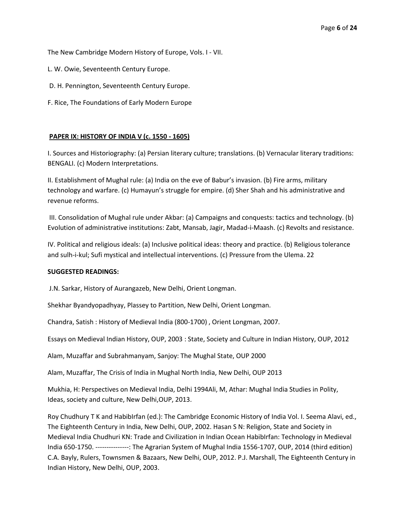The New Cambridge Modern History of Europe, Vols. I - VII.

- L. W. Owie, Seventeenth Century Europe.
- D. H. Pennington, Seventeenth Century Europe.
- F. Rice, The Foundations of Early Modern Europe

# **PAPER IX: HISTORY OF INDIA V (c. 1550 - 1605)**

I. Sources and Historiography: (a) Persian literary culture; translations. (b) Vernacular literary traditions: BENGALI. (c) Modern Interpretations.

II. Establishment of Mughal rule: (a) India on the eve of Babur's invasion. (b) Fire arms, military technology and warfare. (c) Humayun's struggle for empire. (d) Sher Shah and his administrative and revenue reforms.

III. Consolidation of Mughal rule under Akbar: (a) Campaigns and conquests: tactics and technology. (b) Evolution of administrative institutions: Zabt, Mansab, Jagir, Madad-i-Maash. (c) Revolts and resistance.

IV. Political and religious ideals: (a) Inclusive political ideas: theory and practice. (b) Religious tolerance and sulh-i-kul; Sufi mystical and intellectual interventions. (c) Pressure from the Ulema. 22

# **SUGGESTED READINGS:**

J.N. Sarkar, History of Aurangazeb, New Delhi, Orient Longman.

Shekhar Byandyopadhyay, Plassey to Partition, New Delhi, Orient Longman.

Chandra, Satish : History of Medieval India (800-1700) , Orient Longman, 2007.

Essays on Medieval Indian History, OUP, 2003 : State, Society and Culture in Indian History, OUP, 2012

Alam, Muzaffar and Subrahmanyam, Sanjoy: The Mughal State, OUP 2000

Alam, Muzaffar, The Crisis of India in Mughal North India, New Delhi, OUP 2013

Mukhia, H: Perspectives on Medieval India, Delhi 1994Ali, M, Athar: Mughal India Studies in Polity, Ideas, society and culture, New Delhi,OUP, 2013.

Roy Chudhury T K and HabibIrfan (ed.): The Cambridge Economic History of India Vol. I. Seema Alavi, ed., The Eighteenth Century in India, New Delhi, OUP, 2002. Hasan S N: Religion, State and Society in Medieval India Chudhuri KN: Trade and Civilization in Indian Ocean HabibIrfan: Technology in Medieval India 650-1750. ---------------: The Agrarian System of Mughal India 1556-1707, OUP, 2014 (third edition) C.A. Bayly, Rulers, Townsmen & Bazaars, New Delhi, OUP, 2012. P.J. Marshall, The Eighteenth Century in Indian History, New Delhi, OUP, 2003.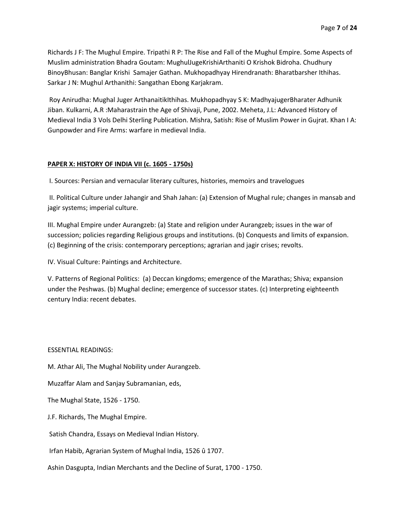Richards J F: The Mughul Empire. Tripathi R P: The Rise and Fall of the Mughul Empire. Some Aspects of Muslim administration Bhadra Goutam: MughulJugeKrishiArthaniti O Krishok Bidroha. Chudhury BinoyBhusan: Banglar Krishi Samajer Gathan. Mukhopadhyay Hirendranath: Bharatbarsher Ithihas. Sarkar J N: Mughul Arthanithi: Sangathan Ebong Karjakram.

Roy Anirudha: Mughal Juger ArthanaitikIthihas. Mukhopadhyay S K: MadhyajugerBharater Adhunik Jiban. Kulkarni, A.R :Maharastrain the Age of Shivaji, Pune, 2002. Meheta, J.L: Advanced History of Medieval India 3 Vols Delhi Sterling Publication. Mishra, Satish: Rise of Muslim Power in Gujrat. Khan I A: Gunpowder and Fire Arms: warfare in medieval India.

# **PAPER X: HISTORY OF INDIA VII (c. 1605 - 1750s)**

I. Sources: Persian and vernacular literary cultures, histories, memoirs and travelogues

II. Political Culture under Jahangir and Shah Jahan: (a) Extension of Mughal rule; changes in mansab and jagir systems; imperial culture.

III. Mughal Empire under Aurangzeb: (a) State and religion under Aurangzeb; issues in the war of succession; policies regarding Religious groups and institutions. (b) Conquests and limits of expansion. (c) Beginning of the crisis: contemporary perceptions; agrarian and jagir crises; revolts.

IV. Visual Culture: Paintings and Architecture.

V. Patterns of Regional Politics: (a) Deccan kingdoms; emergence of the Marathas; Shiva; expansion under the Peshwas. (b) Mughal decline; emergence of successor states. (c) Interpreting eighteenth century India: recent debates.

ESSENTIAL READINGS:

M. Athar Ali, The Mughal Nobility under Aurangzeb.

Muzaffar Alam and Sanjay Subramanian, eds,

The Mughal State, 1526 - 1750.

J.F. Richards, The Mughal Empire.

Satish Chandra, Essays on Medieval Indian History.

Irfan Habib, Agrarian System of Mughal India, 1526 û 1707.

Ashin Dasgupta, Indian Merchants and the Decline of Surat, 1700 - 1750.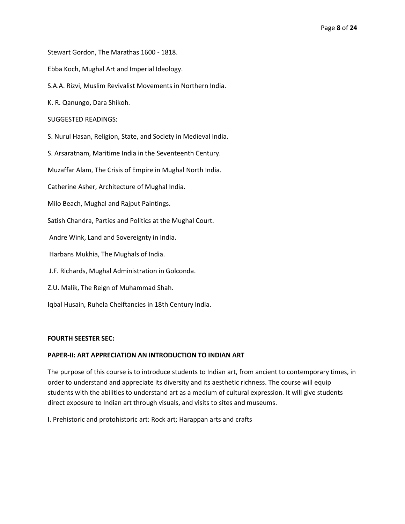Stewart Gordon, The Marathas 1600 - 1818.

Ebba Koch, Mughal Art and Imperial Ideology.

S.A.A. Rizvi, Muslim Revivalist Movements in Northern India.

K. R. Qanungo, Dara Shikoh.

## SUGGESTED READINGS:

S. Nurul Hasan, Religion, State, and Society in Medieval India.

S. Arsaratnam, Maritime India in the Seventeenth Century.

Muzaffar Alam, The Crisis of Empire in Mughal North India.

Catherine Asher, Architecture of Mughal India.

Milo Beach, Mughal and Rajput Paintings.

Satish Chandra, Parties and Politics at the Mughal Court.

Andre Wink, Land and Sovereignty in India.

Harbans Mukhia, The Mughals of India.

J.F. Richards, Mughal Administration in Golconda.

Z.U. Malik, The Reign of Muhammad Shah.

Iqbal Husain, Ruhela Cheiftancies in 18th Century India.

### **FOURTH SEESTER SEC:**

### **PAPER-II: ART APPRECIATION AN INTRODUCTION TO INDIAN ART**

The purpose of this course is to introduce students to Indian art, from ancient to contemporary times, in order to understand and appreciate its diversity and its aesthetic richness. The course will equip students with the abilities to understand art as a medium of cultural expression. It will give students direct exposure to Indian art through visuals, and visits to sites and museums.

I. Prehistoric and protohistoric art: Rock art; Harappan arts and crafts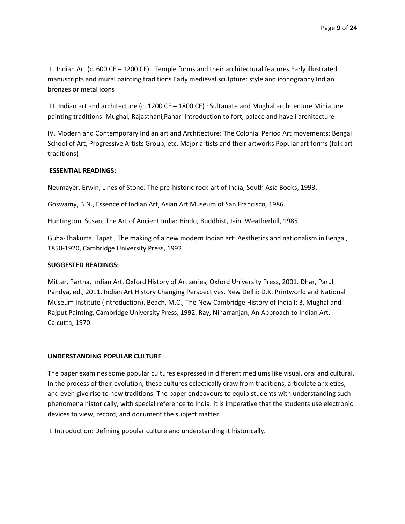II. Indian Art (c. 600 CE – 1200 CE) : Temple forms and their architectural features Early illustrated manuscripts and mural painting traditions Early medieval sculpture: style and iconography Indian bronzes or metal icons

III. Indian art and architecture (c. 1200 CE – 1800 CE) : Sultanate and Mughal architecture Miniature painting traditions: Mughal, Rajasthani,Pahari Introduction to fort, palace and haveli architecture

IV. Modern and Contemporary Indian art and Architecture: The Colonial Period Art movements: Bengal School of Art, Progressive Artists Group, etc. Major artists and their artworks Popular art forms (folk art traditions)

# **ESSENTIAL READINGS:**

Neumayer, Erwin, Lines of Stone: The pre-historic rock-art of India, South Asia Books, 1993.

Goswamy, B.N., Essence of Indian Art, Asian Art Museum of San Francisco, 1986.

Huntington, Susan, The Art of Ancient India: Hindu, Buddhist, Jain, Weatherhill, 1985.

Guha-Thakurta, Tapati, The making of a new modern Indian art: Aesthetics and nationalism in Bengal, 1850-1920, Cambridge University Press, 1992.

# **SUGGESTED READINGS:**

Mitter, Partha, Indian Art, Oxford History of Art series, Oxford University Press, 2001. Dhar, Parul Pandya, ed., 2011, Indian Art History Changing Perspectives, New Delhi: D.K. Printworld and National Museum Institute (Introduction). Beach, M.C., The New Cambridge History of India I: 3, Mughal and Rajput Painting, Cambridge University Press, 1992. Ray, Niharranjan, An Approach to Indian Art, Calcutta, 1970.

# **UNDERSTANDING POPULAR CULTURE**

The paper examines some popular cultures expressed in different mediums like visual, oral and cultural. In the process of their evolution, these cultures eclectically draw from traditions, articulate anxieties, and even give rise to new traditions. The paper endeavours to equip students with understanding such phenomena historically, with special reference to India. It is imperative that the students use electronic devices to view, record, and document the subject matter.

I. Introduction: Defining popular culture and understanding it historically.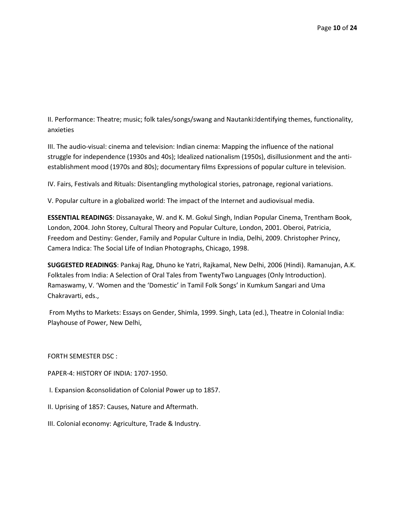II. Performance: Theatre; music; folk tales/songs/swang and Nautanki:Identifying themes, functionality, anxieties

III. The audio-visual: cinema and television: Indian cinema: Mapping the influence of the national struggle for independence (1930s and 40s); Idealized nationalism (1950s), disillusionment and the antiestablishment mood (1970s and 80s); documentary films Expressions of popular culture in television.

IV. Fairs, Festivals and Rituals: Disentangling mythological stories, patronage, regional variations.

V. Popular culture in a globalized world: The impact of the Internet and audiovisual media.

**ESSENTIAL READINGS**: Dissanayake, W. and K. M. Gokul Singh, Indian Popular Cinema, Trentham Book, London, 2004. John Storey, Cultural Theory and Popular Culture, London, 2001. Oberoi, Patricia, Freedom and Destiny: Gender, Family and Popular Culture in India, Delhi, 2009. Christopher Princy, Camera Indica: The Social Life of Indian Photographs, Chicago, 1998.

**SUGGESTED READINGS**: Pankaj Rag, Dhuno ke Yatri, Rajkamal, New Delhi, 2006 (Hindi). Ramanujan, A.K. Folktales from India: A Selection of Oral Tales from TwentyTwo Languages (Only Introduction). Ramaswamy, V. 'Women and the 'Domestic' in Tamil Folk Songs' in Kumkum Sangari and Uma Chakravarti, eds.,

From Myths to Markets: Essays on Gender, Shimla, 1999. Singh, Lata (ed.), Theatre in Colonial India: Playhouse of Power, New Delhi,

FORTH SEMESTER DSC :

PAPER-4: HISTORY OF INDIA: 1707-1950.

I. Expansion &consolidation of Colonial Power up to 1857.

II. Uprising of 1857: Causes, Nature and Aftermath.

III. Colonial economy: Agriculture, Trade & Industry.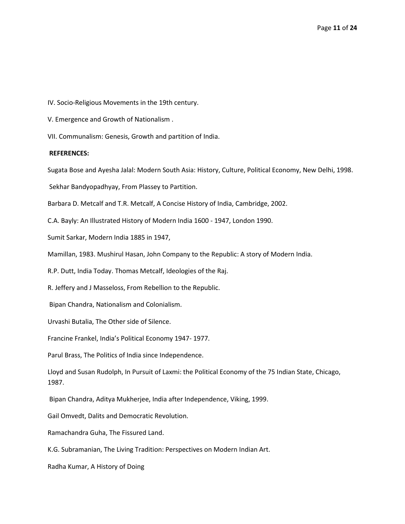IV. Socio-Religious Movements in the 19th century.

V. Emergence and Growth of Nationalism .

VII. Communalism: Genesis, Growth and partition of India.

#### **REFERENCES:**

Sugata Bose and Ayesha Jalal: Modern South Asia: History, Culture, Political Economy, New Delhi, 1998.

Sekhar Bandyopadhyay, From Plassey to Partition.

Barbara D. Metcalf and T.R. Metcalf, A Concise History of India, Cambridge, 2002.

C.A. Bayly: An Illustrated History of Modern India 1600 - 1947, London 1990.

Sumit Sarkar, Modern India 1885 in 1947,

Mamillan, 1983. Mushirul Hasan, John Company to the Republic: A story of Modern India.

R.P. Dutt, India Today. Thomas Metcalf, Ideologies of the Raj.

R. Jeffery and J Masseloss, From Rebellion to the Republic.

Bipan Chandra, Nationalism and Colonialism.

Urvashi Butalia, The Other side of Silence.

Francine Frankel, India's Political Economy 1947- 1977.

Parul Brass, The Politics of India since Independence.

Lloyd and Susan Rudolph, In Pursuit of Laxmi: the Political Economy of the 75 Indian State, Chicago, 1987.

Bipan Chandra, Aditya Mukherjee, India after Independence, Viking, 1999.

Gail Omvedt, Dalits and Democratic Revolution.

Ramachandra Guha, The Fissured Land.

K.G. Subramanian, The Living Tradition: Perspectives on Modern Indian Art.

Radha Kumar, A History of Doing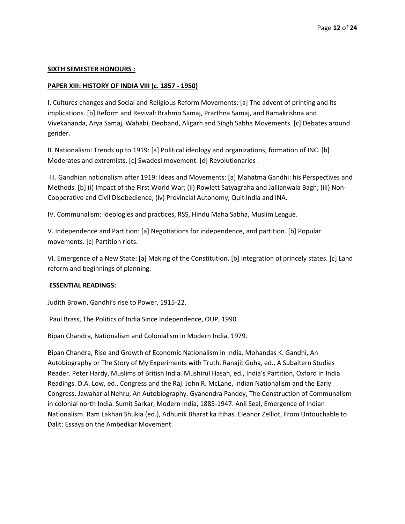### **SIXTH SEMESTER HONOURS :**

# **PAPER XIII: HISTORY OF INDIA VIII (c. 1857 - 1950)**

I. Cultures changes and Social and Religious Reform Movements: [a] The advent of printing and its implications. [b] Reform and Revival: Brahmo Samaj, Prarthna Samaj, and Ramakrishna and Vivekananda, Arya Samaj, Wahabi, Deoband, Aligarh and Singh Sabha Movements. [c] Debates around gender.

II. Nationalism: Trends up to 1919: [a] Political ideology and organizations, formation of INC. [b] Moderates and extremists. [c] Swadesi movement. [d] Revolutionaries .

III. Gandhian nationalism after 1919: Ideas and Movements: [a] Mahatma Gandhi: his Perspectives and Methods. [b] (i) Impact of the First World War; (ii) Rowlett Satyagraha and Jallianwala Bagh; (iii) Non-Cooperative and Civil Disobedience; (iv) Provincial Autonomy, Quit India and INA.

IV. Communalism: Ideologies and practices, RSS, Hindu Maha Sabha, Muslim League.

V. Independence and Partition: [a] Negotiations for independence, and partition. [b] Popular movements. [c] Partition riots.

VI. Emergence of a New State: [a] Making of the Constitution. [b] Integration of princely states. [c] Land reform and beginnings of planning.

### **ESSENTIAL READINGS:**

Judith Brown, Gandhi's rise to Power, 1915-22.

Paul Brass, The Politics of India Since Independence, OUP, 1990.

Bipan Chandra, Nationalism and Colonialism in Modern India, 1979.

Bipan Chandra, Rise and Growth of Economic Nationalism in India. Mohandas K. Gandhi, An Autobiography or The Story of My Experiments with Truth. Ranajit Guha, ed., A Subaltern Studies Reader. Peter Hardy, Muslims of British India. Mushirul Hasan, ed., India's Partition, Oxford in India Readings. D.A. Low, ed., Congress and the Raj. John R. McLane, Indian Nationalism and the Early Congress. Jawaharlal Nehru, An Autobiography. Gyanendra Pandey, The Construction of Communalism in colonial north India. Sumit Sarkar, Modern India, 1885-1947. Anil Seal, Emergence of Indian Nationalism. Ram Lakhan Shukla (ed.), Adhunik Bharat ka Itihas. Eleanor Zelliot, From Untouchable to Dalit: Essays on the Ambedkar Movement.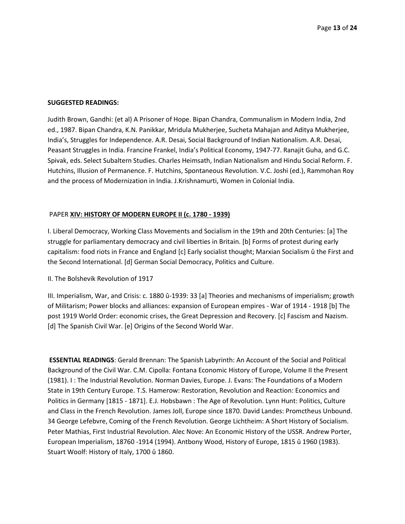#### **SUGGESTED READINGS:**

Judith Brown, Gandhi: (et al) A Prisoner of Hope. Bipan Chandra, Communalism in Modern India, 2nd ed., 1987. Bipan Chandra, K.N. Panikkar, Mridula Mukherjee, Sucheta Mahajan and Aditya Mukherjee, India's, Struggles for Independence. A.R. Desai, Social Background of Indian Nationalism. A.R. Desai, Peasant Struggles in India. Francine Frankel, India's Political Economy, 1947-77. Ranajit Guha, and G.C. Spivak, eds. Select Subaltern Studies. Charles Heimsath, Indian Nationalism and Hindu Social Reform. F. Hutchins, Illusion of Permanence. F. Hutchins, Spontaneous Revolution. V.C. Joshi (ed.), Rammohan Roy and the process of Modernization in India. J.Krishnamurti, Women in Colonial India.

### PAPER **XIV: HISTORY OF MODERN EUROPE II (c. 1780 - 1939)**

I. Liberal Democracy, Working Class Movements and Socialism in the 19th and 20th Centuries: [a] The struggle for parliamentary democracy and civil liberties in Britain. [b] Forms of protest during early capitalism: food riots in France and England [c] Early socialist thought; Marxian Socialism û the First and the Second International. [d] German Social Democracy, Politics and Culture.

#### II. The Bolshevik Revolution of 1917

III. Imperialism, War, and Crisis: c. 1880 û-1939: 33 [a] Theories and mechanisms of imperialism; growth of Militarism; Power blocks and alliances: expansion of European empires - War of 1914 - 1918 [b] The post 1919 World Order: economic crises, the Great Depression and Recovery. [c] Fascism and Nazism. [d] The Spanish Civil War. [e] Origins of the Second World War.

**ESSENTIAL READINGS**: Gerald Brennan: The Spanish Labyrinth: An Account of the Social and Political Background of the Civil War. C.M. Cipolla: Fontana Economic History of Europe, Volume II the Present (1981). I : The Industrial Revolution. Norman Davies, Europe. J. Evans: The Foundations of a Modern State in 19th Century Europe. T.S. Hamerow: Restoration, Revolution and Reaction: Economics and Politics in Germany [1815 - 1871]. E.J. Hobsbawn : The Age of Revolution. Lynn Hunt: Politics, Culture and Class in the French Revolution. James Joll, Europe since 1870. David Landes: Promctheus Unbound. 34 George Lefebvre, Coming of the French Revolution. George Lichtheim: A Short History of Socialism. Peter Mathias, First Industrial Revolution. Alec Nove: An Economic History of the USSR. Andrew Porter, European Imperialism, 18760 -1914 (1994). Antbony Wood, History of Europe, 1815 û 1960 (1983). Stuart Woolf: History of Italy, 1700 û 1860.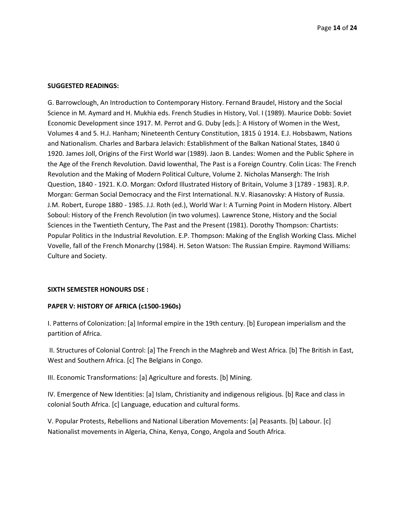#### **SUGGESTED READINGS:**

G. Barrowclough, An Introduction to Contemporary History. Fernand Braudel, History and the Social Science in M. Aymard and H. Mukhia eds. French Studies in History, Vol. I (1989). Maurice Dobb: Soviet Economic Development since 1917. M. Perrot and G. Duby [eds.]: A History of Women in the West, Volumes 4 and 5. H.J. Hanham; Nineteenth Century Constitution, 1815 û 1914. E.J. Hobsbawm, Nations and Nationalism. Charles and Barbara Jelavich: Establishment of the Balkan National States, 1840 û 1920. James Joll, Origins of the First World war (1989). Jaon B. Landes: Women and the Public Sphere in the Age of the French Revolution. David lowenthal, The Past is a Foreign Country. Colin Licas: The French Revolution and the Making of Modern Political Culture, Volume 2. Nicholas Mansergh: The Irish Question, 1840 - 1921. K.O. Morgan: Oxford Illustrated History of Britain, Volume 3 [1789 - 1983]. R.P. Morgan: German Social Democracy and the First International. N.V. Riasanovsky: A History of Russia. J.M. Robert, Europe 1880 - 1985. J.J. Roth (ed.), World War I: A Turning Point in Modern History. Albert Soboul: History of the French Revolution (in two volumes). Lawrence Stone, History and the Social Sciences in the Twentieth Century, The Past and the Present (1981). Dorothy Thompson: Chartists: Popular Politics in the Industrial Revolution. E.P. Thompson: Making of the English Working Class. Michel Vovelle, fall of the French Monarchy (1984). H. Seton Watson: The Russian Empire. Raymond Williams: Culture and Society.

#### **SIXTH SEMESTER HONOURS DSE :**

### **PAPER V: HISTORY OF AFRICA (c1500-1960s)**

I. Patterns of Colonization: [a] Informal empire in the 19th century. [b] European imperialism and the partition of Africa.

II. Structures of Colonial Control: [a] The French in the Maghreb and West Africa. [b] The British in East, West and Southern Africa. [c] The Belgians in Congo.

III. Economic Transformations: [a] Agriculture and forests. [b] Mining.

IV. Emergence of New Identities: [a] Islam, Christianity and indigenous religious. [b] Race and class in colonial South Africa. [c] Language, education and cultural forms.

V. Popular Protests, Rebellions and National Liberation Movements: [a] Peasants. [b] Labour. [c] Nationalist movements in Algeria, China, Kenya, Congo, Angola and South Africa.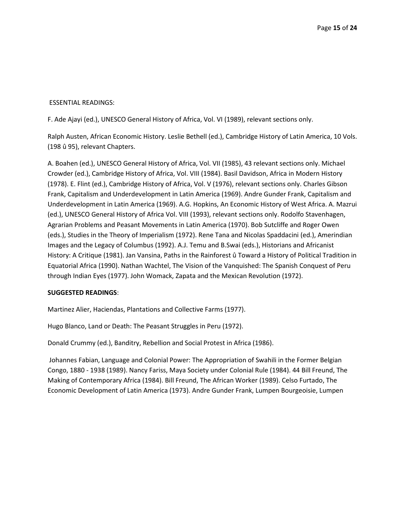# ESSENTIAL READINGS:

F. Ade Ajayi (ed.), UNESCO General History of Africa, Vol. VI (1989), relevant sections only.

Ralph Austen, African Economic History. Leslie Bethell (ed.), Cambridge History of Latin America, 10 Vols. (198 û 95), relevant Chapters.

A. Boahen (ed.), UNESCO General History of Africa, Vol. VII (1985), 43 relevant sections only. Michael Crowder (ed.), Cambridge History of Africa, Vol. VIII (1984). Basil Davidson, Africa in Modern History (1978). E. Flint (ed.), Cambridge History of Africa, Vol. V (1976), relevant sections only. Charles Gibson Frank, Capitalism and Underdevelopment in Latin America (1969). Andre Gunder Frank, Capitalism and Underdevelopment in Latin America (1969). A.G. Hopkins, An Economic History of West Africa. A. Mazrui (ed.), UNESCO General History of Africa Vol. VIII (1993), relevant sections only. Rodolfo Stavenhagen, Agrarian Problems and Peasant Movements in Latin America (1970). Bob Sutcliffe and Roger Owen (eds.), Studies in the Theory of Imperialism (1972). Rene Tana and Nicolas Spaddacini (ed.), Amerindian Images and the Legacy of Columbus (1992). A.J. Temu and B.Swai (eds.), Historians and Africanist History: A Critique (1981). Jan Vansina, Paths in the Rainforest û Toward a History of Political Tradition in Equatorial Africa (1990). Nathan Wachtel, The Vision of the Vanquished: The Spanish Conquest of Peru through Indian Eyes (1977). John Womack, Zapata and the Mexican Revolution (1972).

# **SUGGESTED READINGS**:

Martinez Alier, Haciendas, Plantations and Collective Farms (1977).

Hugo Blanco, Land or Death: The Peasant Struggles in Peru (1972).

Donald Crummy (ed.), Banditry, Rebellion and Social Protest in Africa (1986).

Johannes Fabian, Language and Colonial Power: The Appropriation of Swahili in the Former Belgian Congo, 1880 - 1938 (1989). Nancy Fariss, Maya Society under Colonial Rule (1984). 44 Bill Freund, The Making of Contemporary Africa (1984). Bill Freund, The African Worker (1989). Celso Furtado, The Economic Development of Latin America (1973). Andre Gunder Frank, Lumpen Bourgeoisie, Lumpen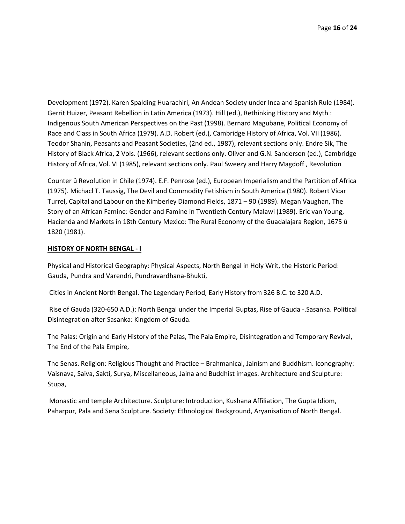Development (1972). Karen Spalding Huarachiri, An Andean Society under Inca and Spanish Rule (1984). Gerrit Huizer, Peasant Rebellion in Latin America (1973). Hill (ed.), Rethinking History and Myth : Indigenous South American Perspectives on the Past (1998). Bernard Magubane, Political Economy of Race and Class in South Africa (1979). A.D. Robert (ed.), Cambridge History of Africa, Vol. VII (1986). Teodor Shanin, Peasants and Peasant Societies, (2nd ed., 1987), relevant sections only. Endre Sik, The History of Black Africa, 2 Vols. (1966), relevant sections only. Oliver and G.N. Sanderson (ed.), Cambridge History of Africa, Vol. VI (1985), relevant sections only. Paul Sweezy and Harry Magdoff , Revolution

Counter û Revolution in Chile (1974). E.F. Penrose (ed.), European Imperialism and the Partition of Africa (1975). Michacl T. Taussig, The Devil and Commodity Fetishism in South America (1980). Robert Vicar Turrel, Capital and Labour on the Kimberley Diamond Fields, 1871 – 90 (1989). Megan Vaughan, The Story of an African Famine: Gender and Famine in Twentieth Century Malawi (1989). Eric van Young, Hacienda and Markets in 18th Century Mexico: The Rural Economy of the Guadalajara Region, 1675 û 1820 (1981).

### **HISTORY OF NORTH BENGAL - I**

Physical and Historical Geography: Physical Aspects, North Bengal in Holy Writ, the Historic Period: Gauda, Pundra and Varendri, Pundravardhana-Bhukti,

Cities in Ancient North Bengal. The Legendary Period, Early History from 326 B.C. to 320 A.D.

Rise of Gauda (320-650 A.D.): North Bengal under the Imperial Guptas, Rise of Gauda -.Sasanka. Political Disintegration after Sasanka: Kingdom of Gauda.

The Palas: Origin and Early History of the Palas, The Pala Empire, Disintegration and Temporary Revival, The End of the Pala Empire,

The Senas. Religion: Religious Thought and Practice – Brahmanical, Jainism and Buddhism. Iconography: Vaisnava, Saiva, Sakti, Surya, Miscellaneous, Jaina and Buddhist images. Architecture and Sculpture: Stupa,

Monastic and temple Architecture. Sculpture: Introduction, Kushana Affiliation, The Gupta Idiom, Paharpur, Pala and Sena Sculpture. Society: Ethnological Background, Aryanisation of North Bengal.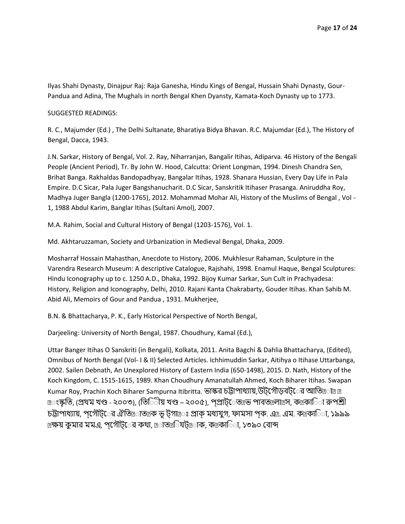Ilyas Shahi Dynasty, Dinajpur Raj: Raja Ganesha, Hindu Kings of Bengal, Hussain Shahi Dynasty, Gour-Pandua and Adina, The Mughals in north Bengal Khen Dyansty, Kamata-Koch Dynasty up to 1773.

### SUGGESTED READINGS:

R. C., Majumder (Ed.) , The Delhi Sultanate, Bharatiya Bidya Bhavan. R.C. Majumdar (Ed.), The History of Bengal, Dacca, 1943.

J.N. Sarkar, History of Bengal, Vol. 2. Ray, Niharranjan, Bangalir Itihas, Adiparva. 46 History of the Bengali People (Ancient Period), Tr. By John W. Hood, Calcutta: Orient Longman, 1994. Dinesh Chandra Sen, Brihat Banga. Rakhaldas Bandopadhyay, Bangalar Itihas, 1928. Shanara Hussian, Every Day Life in Pala Empire. D.C Sicar, Pala Juger Bangshanucharit. D.C Sicar, Sanskritik Itihaser Prasanga. Aniruddha Roy, Madhya Juger Bangla (1200-1765), 2012. Mohammad Mohar Ali, History of the Muslims of Bengal , Vol - 1, 1988 Abdul Karim, Banglar Itihas (Sultani Amol), 2007.

M.A. Rahim, Social and Cultural History of Bengal (1203-1576), Vol. 1.

Md. Akhtaruzzaman, Society and Urbanization in Medieval Bengal, Dhaka, 2009.

Mosharraf Hossain Mahasthan, Anecdote to History, 2006. Mukhlesur Rahaman, Sculpture in the Varendra Research Museum: A descriptive Catalogue, Rajshahi, 1998. Enamul Haque, Bengal Sculptures: Hindu Iconography up to c. 1250 A.D., Dhaka, 1992. Bijoy Kumar Sarkar, Sun Cult in Prachyadesa: History, Religion and Iconography, Delhi, 2010. Rajani Kanta Chakrabarty, Gouder Itihas. Khan Sahib M. Abid Ali, Memoirs of Gour and Pandua , 1931. Mukherjee,

B.N. & Bhattacharya, P. K., Early Historical Perspective of North Bengal,

Darjeeling: University of North Bengal, 1987. Choudhury, Kamal (Ed.),

Uttar Banger Itihas O Sanskriti (in Bengali), Kolkata, 2011. Anita Bagchi & Dahlia Bhattacharya, (Edited), Omnibus of North Bengal (Vol- I & II) Selected Articles. Ichhimuddin Sarkar, Aitihya o Itihase Uttarbanga, 2002. Sailen Debnath, An Unexplored History of Eastern India (650-1498), 2015. D. Nath, History of the Koch Kingdom, C. 1515-1615, 1989. Khan Choudhury Amanatullah Ahmed, Koch Biharer Itihas. Swapan Kumar Roy, Prachin Koch Biharer Sampurna Itibritta. ভাস্কর চট্টাপাধ্যায়,উটগৌড়বট**ের আতি**ত্রাত্র ত্র <sub>াং</sub>স্কৃতি, (প্রথম খণ্ড - ২০০৩), (তিিীয় খণ্ড – ২০০৫), প্প্রাট়্েত<sub>া</sub>ভ পাবত $_2$ লা@স, ক $_2$ কািা রুপশ্রী চট্টাপাধ্যায়, প্যৌট**ের ঐতি@াত**ত্রক ভূ টগা *-*ঃ প্রাক মধ্যযুগ, ফামসা পক. এ এম. কত্রকাতিা, ১৯৯৯ াক্ষয় কুমার মমএ, পগৌট্রের কথা, াতাত্র্যিটাত্রাক, কাকাতিা, ১৩৯০ বোব্দ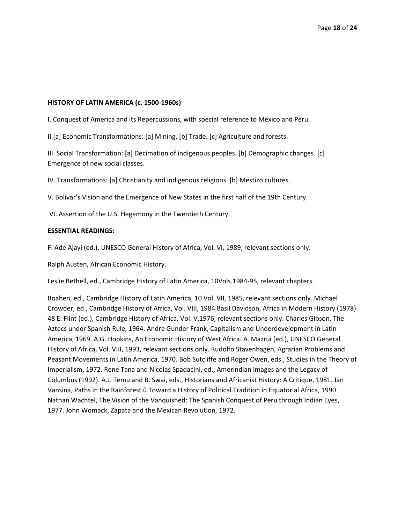# **HISTORY OF LATIN AMERICA (c. 1500-1960s)**

I. Conquest of America and its Repercussions, with special reference to Mexico and Peru.

II.[a] Economic Transformations: [a] Mining. [b] Trade. [c] Agriculture and forests.

III. Social Transformation: [a] Decimation of indigenous peoples. [b] Demographic changes. [c] Emergence of new social classes.

IV. Transformations: [a] Christianity and indigenous religions. [b] Mestizo cultures.

V. Bolivar's Vision and the Emergence of New States in the first half of the 19th Century.

VI. Assertion of the U.S. Hegemony in the Twentieth Century.

# **ESSENTIAL READINGS:**

F. Ade Ajayi (ed.), UNESCO General History of Africa, Vol. VI, 1989, relevant sections only.

Ralph Austen, African Economic History.

Leslie Bethell, ed., Cambridge History of Latin America, 10Vols.1984-95, relevant chapters.

Boahen, ed., Cambridge History of Latin America, 10 Vol. VII, 1985, relevant sections only. Michael Crowder, ed., Cambridge History of Africa, Vol. VIII, 1984 Basil Davidson, Africa in Modern History (1978) 48 E. Flint (ed.), Cambridge History of Africa, Vol. V,1976, relevant sections only. Charles Gibson, The Aztecs under Spanish Rule, 1964. Andre Gunder Frank, Capitalism and Underdevelopment in Latin America, 1969. A.G. Hopkins, An Economic History of West Africa. A. Mazrui (ed.), UNESCO General History of Africa, Vol. VIII, 1993, relevant sections only. Rudolfo Stavenhagen, Agrarian Problems and Peasant Movements in Latin America, 1970. Bob Sutcliffe and Roger Owen, eds., Studies in the Theory of Imperialism, 1972. Rene Tana and Nicolas Spadacini, ed., Amerindian Images and the Legacy of Columbus (1992). A.J. Temu and B. Swai, eds., Historians and Africanist History: A Critique, 1981. Jan Vansina, Paths in the Rainforest û Toward a History of Political Tradition in Equatorial Africa, 1990. Nathan Wachtel, The Vision of the Vanquished: The Spanish Conquest of Peru through Indian Eyes, 1977. John Womack, Zapata and the Mexican Revolution, 1972.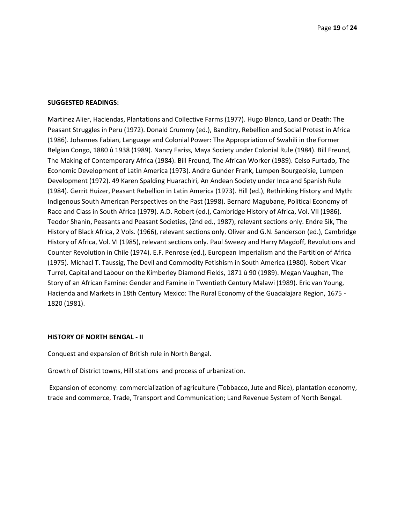#### **SUGGESTED READINGS:**

Martinez Alier, Haciendas, Plantations and Collective Farms (1977). Hugo Blanco, Land or Death: The Peasant Struggles in Peru (1972). Donald Crummy (ed.), Banditry, Rebellion and Social Protest in Africa (1986). Johannes Fabian, Language and Colonial Power: The Appropriation of Swahili in the Former Belgian Congo, 1880 û 1938 (1989). Nancy Fariss, Maya Society under Colonial Rule (1984). Bill Freund, The Making of Contemporary Africa (1984). Bill Freund, The African Worker (1989). Celso Furtado, The Economic Development of Latin America (1973). Andre Gunder Frank, Lumpen Bourgeoisie, Lumpen Development (1972). 49 Karen Spalding Huarachiri, An Andean Society under Inca and Spanish Rule (1984). Gerrit Huizer, Peasant Rebellion in Latin America (1973). Hill (ed.), Rethinking History and Myth: Indigenous South American Perspectives on the Past (1998). Bernard Magubane, Political Economy of Race and Class in South Africa (1979). A.D. Robert (ed.), Cambridge History of Africa, Vol. VII (1986). Teodor Shanin, Peasants and Peasant Societies, (2nd ed., 1987), relevant sections only. Endre Sik, The History of Black Africa, 2 Vols. (1966), relevant sections only. Oliver and G.N. Sanderson (ed.), Cambridge History of Africa, Vol. VI (1985), relevant sections only. Paul Sweezy and Harry Magdoff, Revolutions and Counter Revolution in Chile (1974). E.F. Penrose (ed.), European Imperialism and the Partition of Africa (1975). Michacl T. Taussig, The Devil and Commodity Fetishism in South America (1980). Robert Vicar Turrel, Capital and Labour on the Kimberley Diamond Fields, 1871 û 90 (1989). Megan Vaughan, The Story of an African Famine: Gender and Famine in Twentieth Century Malawi (1989). Eric van Young, Hacienda and Markets in 18th Century Mexico: The Rural Economy of the Guadalajara Region, 1675 - 1820 (1981).

#### **HISTORY OF NORTH BENGAL - II**

Conquest and expansion of British rule in North Bengal.

Growth of District towns, Hill stations and process of urbanization.

Expansion of economy: commercialization of agriculture (Tobbacco, Jute and Rice), plantation economy, trade and commerce, Trade, Transport and Communication; Land Revenue System of North Bengal.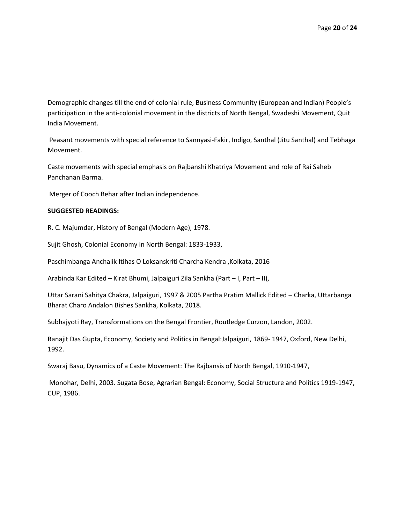Demographic changes till the end of colonial rule, Business Community (European and Indian) People's participation in the anti-colonial movement in the districts of North Bengal, Swadeshi Movement, Quit India Movement.

Peasant movements with special reference to Sannyasi-Fakir, Indigo, Santhal (Jitu Santhal) and Tebhaga Movement.

Caste movements with special emphasis on Rajbanshi Khatriya Movement and role of Rai Saheb Panchanan Barma.

Merger of Cooch Behar after Indian independence.

# **SUGGESTED READINGS:**

R. C. Majumdar, History of Bengal (Modern Age), 1978.

Sujit Ghosh, Colonial Economy in North Bengal: 1833-1933,

Paschimbanga Anchalik Itihas O Loksanskriti Charcha Kendra , Kolkata, 2016

Arabinda Kar Edited – Kirat Bhumi, Jalpaiguri Zila Sankha (Part – I, Part – II),

Uttar Sarani Sahitya Chakra, Jalpaiguri, 1997 & 2005 Partha Pratim Mallick Edited – Charka, Uttarbanga Bharat Charo Andalon Bishes Sankha, Kolkata, 2018.

Subhajyoti Ray, Transformations on the Bengal Frontier, Routledge Curzon, Landon, 2002.

Ranajit Das Gupta, Economy, Society and Politics in Bengal:Jalpaiguri, 1869- 1947, Oxford, New Delhi, 1992.

Swaraj Basu, Dynamics of a Caste Movement: The Rajbansis of North Bengal, 1910-1947,

Monohar, Delhi, 2003. Sugata Bose, Agrarian Bengal: Economy, Social Structure and Politics 1919-1947, CUP, 1986.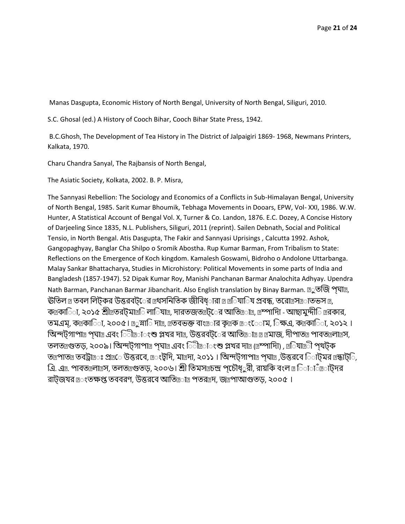Manas Dasgupta, Economic History of North Bengal, University of North Bengal, Siliguri, 2010.

S.C. Ghosal (ed.) A History of Cooch Bihar, Cooch Bihar State Press, 1942.

B.C.Ghosh, The Development of Tea History in The District of Jalpaigiri 1869- 1968, Newmans Printers, Kalkata, 1970.

Charu Chandra Sanyal, The Rajbansis of North Bengal,

The Asiatic Society, Kolkata, 2002. B. P. Misra,

The Sannyasi Rebellion: The Sociology and Economics of a Conflicts in Sub-Himalayan Bengal, University of North Bengal, 1985. Sarit Kumar Bhoumik, Tebhaga Movements in Dooars, EPW, Vol- XXI, 1986. W.W. Hunter, A Statistical Account of Bengal Vol. X, Turner & Co. Landon, 1876. E.C. Dozey, A Concise History of Darjeeling Since 1835, N.L. Publishers, Siliguri, 2011 (reprint). Sailen Debnath, Social and Political Tensio, in North Bengal. Atis Dasgupta, The Fakir and Sannyasi Uprisings , Calcutta 1992. Ashok, Gangopaghyay, Banglar Cha Shilpo o Sromik Abostha. Rup Kumar Barman, From Tribalism to State: Reflections on the Emergence of Koch kingdom. Kamalesh Goswami, Bidroho o Andolone Uttarbanga. Malay Sankar Bhattacharya, Studies in Microhistory: Political Movements in some parts of India and Bangladesh (1857-1947). 52 Dipak Kumar Roy, Manishi Panchanan Barmar Analochita Adhyay. Upendra Nath Barman, Panchanan Barmar Jibancharit. Also English translation by Binay Barman. ূতজি পঘাত্র, ঊতিল ূ তবল লিটকর উত্তরবট**ের ূথসনিতিক জীবিধ**ারা <u>n</u> ূ যাতিয প্রবন্ধ, তরো সাত্রাতভস ূ, কত্রকাতিা, ২০১৫ শ্রীত্রতরট্মাত্রতি লাতিযাত্র, দারতজতত্রট্রের আতিত্রতাত্র, ত্রম্পাদাি - আছামুদ্দীতি ত্ররকার, তমএম, কন্ত্রকািা, ২০০৫। ূসারি দান্ত, ন্ত্রতবভক্ত বাংত্রবার কৃত্রক ূংোম, িক্ষএ, কন্ত্রকারিা, ২০১২। তিন্দট্যাপাত্র পঘাত্র এবং তিীত্রতংশু প্লখর দাত্র, উত্তরবটতের আতিত্রতাত্র ন্যাজ, দীপাতত্র পাবতত্রলাত্রস, তলত<sub>এ</sub>গুতড়, ২০০৯। অিন্দট্গাপা<sub>এ</sub> প্ঘাত্র এবং িীত্রারংশু প্লখর দাত্র (ত্রম্পাদাি) , ত্র**িযাত্রী পৃথ**ট্ক তারপাতা তবট্রা : প্রাতে উত্তরবে, ত্রংটুদি, মাত্রদা, ২০১১। অিন্দটগাপা প্র পঘাত্র, উত্তরবে িাটমর ত্রন্ধাট**ি**, এি. এn. পাবতnলান্ত্রস, তলতন্তগুতড়, ২০০৬। শ্রী তিমসন্ত্রচন্দ্র পচৌধ**ুরী, রায়কি বংল n তিতা**াঁত াটদর রাটজযর ূংতক্ষপ্ত তববরণ, উত্তরবে আতি াত্র পতর $_2$ দ, জ্রূপাআগুতড়, ২০০৫।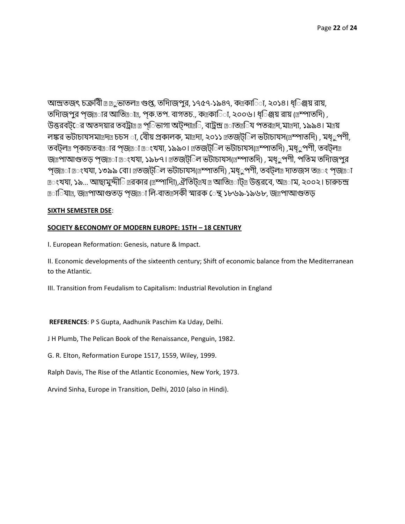আন্দ্রিিৎ চক্রতব ুভািল গুপ্ত, িতদািপুর, ১৭৫৭-১৯৪৭, ককাত া, ২০১৪। ধ্্ত ঞ্জয় রায়, তদািজপুর পজ্ঞার আতি াত্র, পক.তপ. বাগতচ., কত্রকা $\odot$ া, ২০০৬। ধ $\odot$ ঞ্জয় রায় (ম্রম্পাতদি) , উত্তরবট**ের অতদয়ার তবট্রা**ত্র প**িভাগা অটন্দাত্র**ি, বাট্রন্দ্র তাতত্রব্রি পতরত্রদ,মাত্রদা, ১৯৯৪। মত্রয় লঙ্কর ভটাচাযসমা¤দ¤ চচস া, বীেয় প্রকালক, মাদ্রদা, ২০১১ ¤তজট**িল ভটাচাযস(**ম্রুম্পাতদি) , মধ**ুপণী**, তবট্ল প্র প্রকাচতব $\text{m}$ ার প্রজ্ঞা ন $\text{m}$ ংখযা, ১৯৯০।  $\text{m}$ তজট্ $\text{m}$ ল ভটাচাযস( $\text{m}$ ম্পাতদি) ,মধ্ $\infty$ পণী, তবট্ল $\text{m}$ জাপাআগুতড় প্জাতা াংখযা, ১৯৮৭। াতজট্টিল ভটাচাযস(াস্পাতদি), মধ্ুপণী, পতিম তদািজপুর প্জ্ঞা া:ংখযা, ১৩৯৯ বো। ূতজট্ট ল ভটাচাযস(ম্রম্পাতদি) ,মধ্ুপণী, তবট্ল দাতজস ত ং প্জ্ঞা াতংখযা, ১৯... আছামুদ্দীি ারকার (াম্পাদাি),ঐতিট্ায া আতি াট্য উত্তরবে, অাাম, ২০০২। চারুচন্দ্র া বাত্রী, জন্ত্রপাআগুতড় পজ্জনা লি-বাতন্ত্রসকী স্মারক েন্থ ১৮৬৯-১৯৬৮, জন্ত্রপাআগুতড়

# **SIXTH SEMESTER DSE**:

# **SOCIETY &ECONOMY OF MODERN EUROPE: 15TH – 18 CENTURY**

I. European Reformation: Genesis, nature & Impact.

II. Economic developments of the sixteenth century; Shift of economic balance from the Mediterranean to the Atlantic.

III. Transition from Feudalism to Capitalism: Industrial Revolution in England

**REFERENCES**: P S Gupta, Aadhunik Paschim Ka Uday, Delhi.

J H Plumb, The Pelican Book of the Renaissance, Penguin, 1982.

G. R. Elton, Reformation Europe 1517, 1559, Wiley, 1999.

Ralph Davis, The Rise of the Atlantic Economies, New York, 1973.

Arvind Sinha, Europe in Transition, Delhi, 2010 (also in Hindi).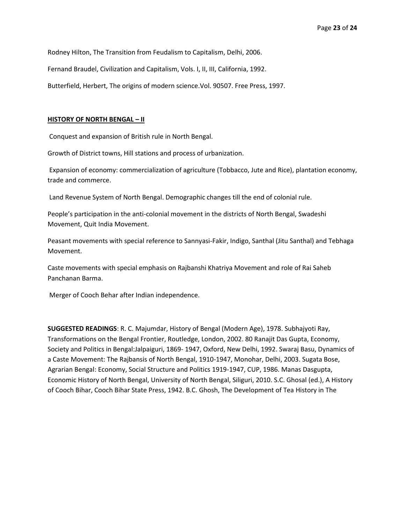Rodney Hilton, The Transition from Feudalism to Capitalism, Delhi, 2006.

Fernand Braudel, Civilization and Capitalism, Vols. I, II, III, California, 1992.

Butterfield, Herbert, The origins of modern science.Vol. 90507. Free Press, 1997.

#### **HISTORY OF NORTH BENGAL – II**

Conquest and expansion of British rule in North Bengal.

Growth of District towns, Hill stations and process of urbanization.

Expansion of economy: commercialization of agriculture (Tobbacco, Jute and Rice), plantation economy, trade and commerce.

Land Revenue System of North Bengal. Demographic changes till the end of colonial rule.

People's participation in the anti-colonial movement in the districts of North Bengal, Swadeshi Movement, Quit India Movement.

Peasant movements with special reference to Sannyasi-Fakir, Indigo, Santhal (Jitu Santhal) and Tebhaga Movement.

Caste movements with special emphasis on Rajbanshi Khatriya Movement and role of Rai Saheb Panchanan Barma.

Merger of Cooch Behar after Indian independence.

**SUGGESTED READINGS**: R. C. Majumdar, History of Bengal (Modern Age), 1978. Subhajyoti Ray, Transformations on the Bengal Frontier, Routledge, London, 2002. 80 Ranajit Das Gupta, Economy, Society and Politics in Bengal:Jalpaiguri, 1869- 1947, Oxford, New Delhi, 1992. Swaraj Basu, Dynamics of a Caste Movement: The Rajbansis of North Bengal, 1910-1947, Monohar, Delhi, 2003. Sugata Bose, Agrarian Bengal: Economy, Social Structure and Politics 1919-1947, CUP, 1986. Manas Dasgupta, Economic History of North Bengal, University of North Bengal, Siliguri, 2010. S.C. Ghosal (ed.), A History of Cooch Bihar, Cooch Bihar State Press, 1942. B.C. Ghosh, The Development of Tea History in The